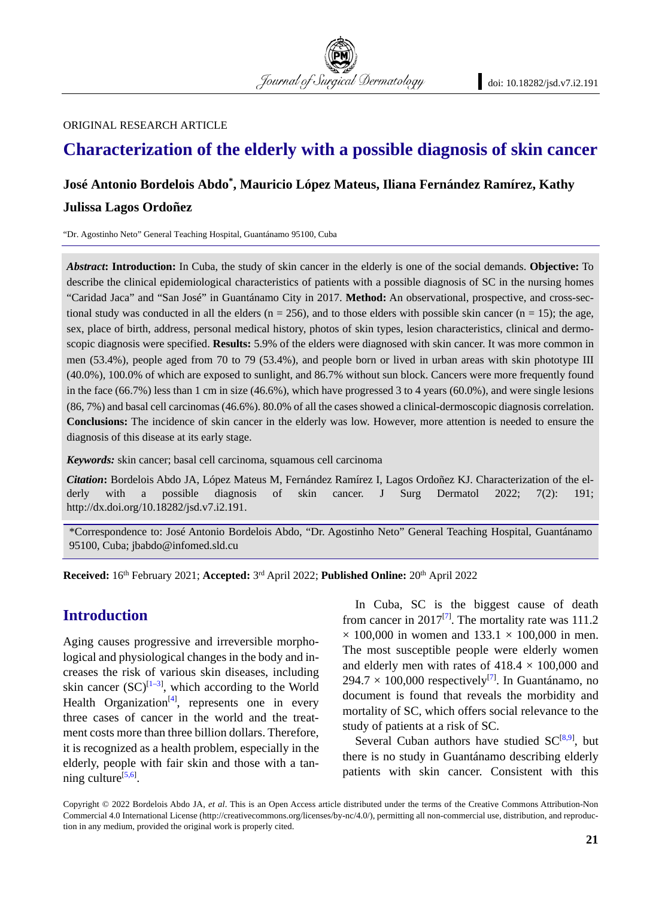Journal of Surgical Dermatology

#### ORIGINAL RESEARCH ARTICLE

## **Characterization of the elderly with a possible diagnosis of skin cancer**

# **José Antonio Bordelois Abdo\*, Mauricio López Mateus, Iliana Fernández Ramírez, Kathy**

#### **Julissa Lagos Ordoñez**

"Dr. Agostinho Neto" General Teaching Hospital, Guantánamo 95100, Cuba

*Abstract***: Introduction:** In Cuba, the study of skin cancer in the elderly is one of the social demands. **Objective:** To describe the clinical epidemiological characteristics of patients with a possible diagnosis of SC in the nursing homes "Caridad Jaca" and "San José" in Guantánamo City in 2017. **Method:** An observational, prospective, and cross-sectional study was conducted in all the elders ( $n = 256$ ), and to those elders with possible skin cancer ( $n = 15$ ); the age, sex, place of birth, address, personal medical history, photos of skin types, lesion characteristics, clinical and dermoscopic diagnosis were specified. **Results:** 5.9% of the elders were diagnosed with skin cancer. It was more common in men (53.4%), people aged from 70 to 79 (53.4%), and people born or lived in urban areas with skin phototype III (40.0%), 100.0% of which are exposed to sunlight, and 86.7% without sun block. Cancers were more frequently found in the face (66.7%) less than 1 cm in size (46.6%), which have progressed 3 to 4 years (60.0%), and were single lesions (86, 7%) and basal cell carcinomas (46.6%). 80.0% of all the cases showed a clinical-dermoscopic diagnosis correlation. **Conclusions:** The incidence of skin cancer in the elderly was low. However, more attention is needed to ensure the diagnosis of this disease at its early stage.

*Keywords:* skin cancer; basal cell carcinoma, squamous cell carcinoma

*Citation***:** Bordelois Abdo JA, López Mateus M, Fernández Ramírez I, Lagos Ordoñez KJ. Characterization of the elderly with a possible diagnosis of skin cancer. J Surg Dermatol 2022; 7(2): 191; http://dx.doi.org/10.18282/jsd.v7.i2.191.

\*Correspondence to: José Antonio Bordelois Abdo, "Dr. Agostinho Neto" General Teaching Hospital, Guantánamo 95100, Cuba; jbabdo@infomed.sld.cu

**Received:** 16th February 2021; **Accepted:** 3rd April 2022; **Published Online:** 20th April 2022

## **Introduction**

Aging causes progressive and irreversible morphological and physiological changes in the body and increases the risk of various skin diseases, including skin cancer  $(SC)^{[1-3]}$ , which according to the World Health Organization<sup>[4]</sup>, represents one in every three cases of cancer in the world and the treatment costs more than three billion dollars. Therefore, it is recognized as a health problem, especially in the elderly, people with fair skin and those with a tanning culture<sup>[5,6]</sup>.

In Cuba, SC is the biggest cause of death from cancer in  $2017^{[7]}$ . The mortality rate was 111.2  $\times$  100,000 in women and 133.1  $\times$  100,000 in men. The most susceptible people were elderly women and elderly men with rates of  $418.4 \times 100,000$  and  $294.7 \times 100,000$  respectively<sup>[7]</sup>. In Guantánamo, no document is found that reveals the morbidity and mortality of SC, which offers social relevance to the study of patients at a risk of SC.

Several Cuban authors have studied  $SC^{[8,9]}$ , but there is no study in Guantánamo describing elderly patients with skin cancer. Consistent with this

Copyright © 2022 Bordelois Abdo JA, *et al*. This is an Open Access article distributed under the terms of the Creative Commons Attribution-Non Commercial 4.0 International License (http://creativecommons.org/licenses/by-nc/4.0/), permitting all non-commercial use, distribution, and reproduction in any medium, provided the original work is properly cited.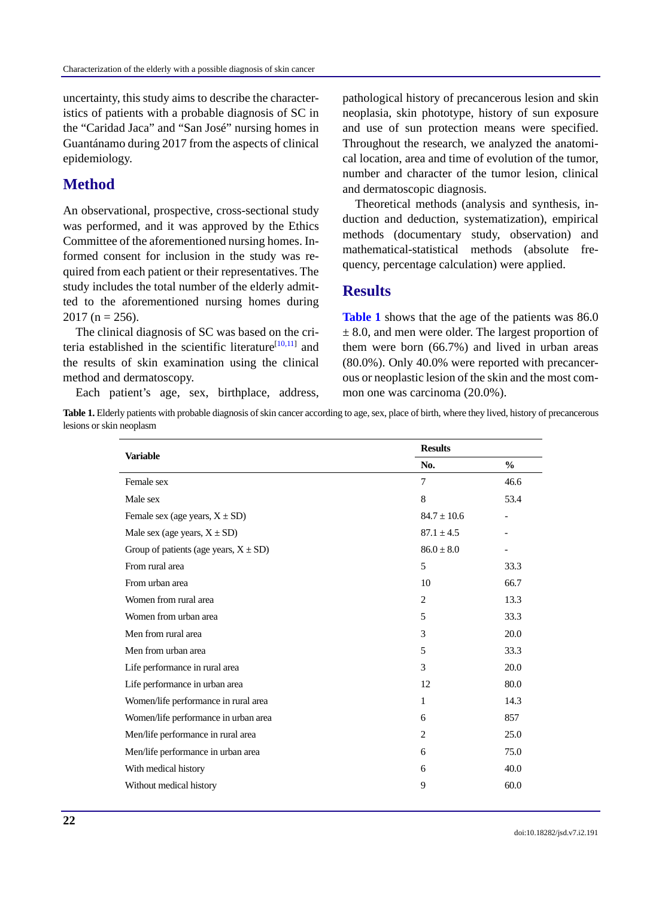uncertainty, this study aims to describe the characteristics of patients with a probable diagnosis of SC in the "Caridad Jaca" and "San José" nursing homes in Guantánamo during 2017 from the aspects of clinical epidemiology.

## **Method**

An observational, prospective, cross-sectional study was performed, and it was approved by the Ethics Committee of the aforementioned nursing homes. Informed consent for inclusion in the study was required from each patient or their representatives. The study includes the total number of the elderly admitted to the aforementioned nursing homes during  $2017$  (n = 256).

The clinical diagnosis of SC was based on the criteria established in the scientific literature<sup>[10,11]</sup> and the results of skin examination using the clinical method and dermatoscopy.

Each patient's age, sex, birthplace, address,

pathological history of precancerous lesion and skin neoplasia, skin phototype, history of sun exposure and use of sun protection means were specified. Throughout the research, we analyzed the anatomical location, area and time of evolution of the tumor, number and character of the tumor lesion, clinical and dermatoscopic diagnosis.

Theoretical methods (analysis and synthesis, induction and deduction, systematization), empirical methods (documentary study, observation) and mathematical-statistical methods (absolute frequency, percentage calculation) were applied.

#### **Results**

**Table 1** shows that the age of the patients was 86.0  $\pm$  8.0, and men were older. The largest proportion of them were born (66.7%) and lived in urban areas (80.0%). Only 40.0% were reported with precancerous or neoplastic lesion of the skin and the most common one was carcinoma (20.0%).

Table 1. Elderly patients with probable diagnosis of skin cancer according to age, sex, place of birth, where they lived, history of precancerous lesions or skin neoplasm

|                                            | <b>Results</b>  |                          |  |  |
|--------------------------------------------|-----------------|--------------------------|--|--|
| <b>Variable</b>                            | No.             | $\frac{0}{0}$            |  |  |
| Female sex                                 | $\tau$          | 46.6                     |  |  |
| Male sex                                   | 8               | 53.4                     |  |  |
| Female sex (age years, $X \pm SD$ )        | $84.7 \pm 10.6$ | $\overline{\phantom{a}}$ |  |  |
| Male sex (age years, $X \pm SD$ )          | $87.1 \pm 4.5$  |                          |  |  |
| Group of patients (age years, $X \pm SD$ ) | $86.0 \pm 8.0$  | $\overline{\phantom{a}}$ |  |  |
| From rural area                            | 5               | 33.3                     |  |  |
| From urban area                            | 10              | 66.7                     |  |  |
| Women from rural area                      | 2               | 13.3                     |  |  |
| Women from urban area                      | 5               | 33.3                     |  |  |
| Men from rural area                        | 3               | 20.0                     |  |  |
| Men from urban area                        | 5               | 33.3                     |  |  |
| Life performance in rural area             | 3               | 20.0                     |  |  |
| Life performance in urban area             | 12              | 80.0                     |  |  |
| Women/life performance in rural area       | 1               | 14.3                     |  |  |
| Women/life performance in urban area       | 6               | 857                      |  |  |
| Men/life performance in rural area         | 2               | 25.0                     |  |  |
| Men/life performance in urban area         | 6               | 75.0                     |  |  |
| With medical history                       | 6               | 40.0                     |  |  |
| Without medical history                    | 9               | 60.0                     |  |  |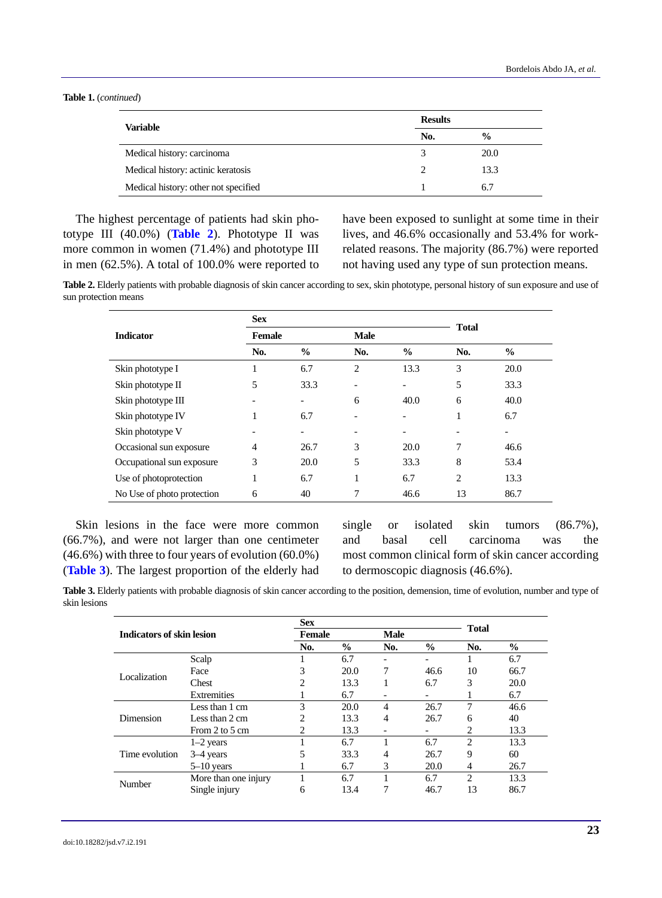**Table 1.** (*continued*)

| <b>Variable</b>                      | <b>Results</b> |               |  |
|--------------------------------------|----------------|---------------|--|
|                                      | No.            | $\frac{0}{0}$ |  |
| Medical history: carcinoma           |                | <b>20.0</b>   |  |
| Medical history: actinic keratosis   |                | 13.3          |  |
| Medical history: other not specified |                | 6.7           |  |

The highest percentage of patients had skin phototype III (40.0%) (**Table 2**). Phototype II was more common in women (71.4%) and phototype III in men (62.5%). A total of 100.0% were reported to have been exposed to sunlight at some time in their lives, and 46.6% occasionally and 53.4% for workrelated reasons. The majority (86.7%) were reported not having used any type of sun protection means.

**Table 2.** Elderly patients with probable diagnosis of skin cancer according to sex, skin phototype, personal history of sun exposure and use of sun protection means

|                            | <b>Sex</b>    |                          |                          |               |               |      |  |
|----------------------------|---------------|--------------------------|--------------------------|---------------|---------------|------|--|
| <b>Indicator</b>           | <b>Female</b> |                          | <b>Male</b>              |               | <b>Total</b>  |      |  |
|                            | No.           | $\frac{6}{9}$            | No.                      | $\frac{6}{9}$ | No.           | $\%$ |  |
| Skin phototype I           | 1             | 6.7                      | $\overline{2}$           | 13.3          | 3             | 20.0 |  |
| Skin phototype II          | 5             | 33.3                     |                          |               | 5             | 33.3 |  |
| Skin phototype III         |               | $\overline{\phantom{a}}$ | 6                        | 40.0          | 6             | 40.0 |  |
| Skin phototype IV          | 1             | 6.7                      |                          |               | 1             | 6.7  |  |
| Skin phototype V           |               | $\overline{\phantom{a}}$ | $\overline{\phantom{0}}$ |               |               |      |  |
| Occasional sun exposure    | 4             | 26.7                     | 3                        | 20.0          | 7             | 46.6 |  |
| Occupational sun exposure  | 3             | 20.0                     | 5                        | 33.3          | 8             | 53.4 |  |
| Use of photoprotection     | 1             | 6.7                      | 1                        | 6.7           | $\mathcal{L}$ | 13.3 |  |
| No Use of photo protection | 6             | 40                       | 7                        | 46.6          | 13            | 86.7 |  |

Skin lesions in the face were more common (66.7%), and were not larger than one centimeter (46.6%) with three to four years of evolution (60.0%) (**Table 3**). The largest proportion of the elderly had single or isolated skin tumors (86.7%), and basal cell carcinoma was the most common clinical form of skin cancer according to dermoscopic diagnosis (46.6%).

**Table 3.** Elderly patients with probable diagnosis of skin cancer according to the position, demension, time of evolution, number and type of skin lesions

| Indicators of skin lesion |                      | <b>Sex</b> |               |                          |                          |               |               |
|---------------------------|----------------------|------------|---------------|--------------------------|--------------------------|---------------|---------------|
|                           |                      | Female     |               | <b>Male</b>              |                          | <b>Total</b>  |               |
|                           |                      | No.        | $\frac{0}{0}$ | No.                      | $\frac{6}{9}$            | No.           | $\frac{0}{0}$ |
|                           | Scalp                |            | 6.7           | $\overline{\phantom{a}}$ | $\overline{\phantom{0}}$ |               | 6.7           |
| Localization              | Face                 | 3          | 20.0          | 7                        | 46.6                     | 10            | 66.7          |
|                           | Chest                | 2          | 13.3          |                          | 6.7                      | 3             | 20.0          |
|                           | Extremities          |            | 6.7           | -                        | $\overline{\phantom{a}}$ |               | 6.7           |
|                           | Less than 1 cm       | 3          | 20.0          | 4                        | 26.7                     | 7             | 46.6          |
| Dimension                 | Less than 2 cm       | 2          | 13.3          | $\overline{4}$           | 26.7                     | 6             | 40            |
|                           | From 2 to 5 cm       | 2          | 13.3          |                          |                          | 2             | 13.3          |
| Time evolution            | $1-2$ years          |            | 6.7           |                          | 6.7                      | $\mathcal{L}$ | 13.3          |
|                           | 3-4 years            | 5          | 33.3          | 4                        | 26.7                     | 9             | 60            |
|                           | $5-10$ years         |            | 6.7           | 3                        | 20.0                     | 4             | 26.7          |
| Number                    | More than one injury |            | 6.7           |                          | 6.7                      | 2             | 13.3          |
|                           | Single injury        | 6          | 13.4          |                          | 46.7                     | 13            | 86.7          |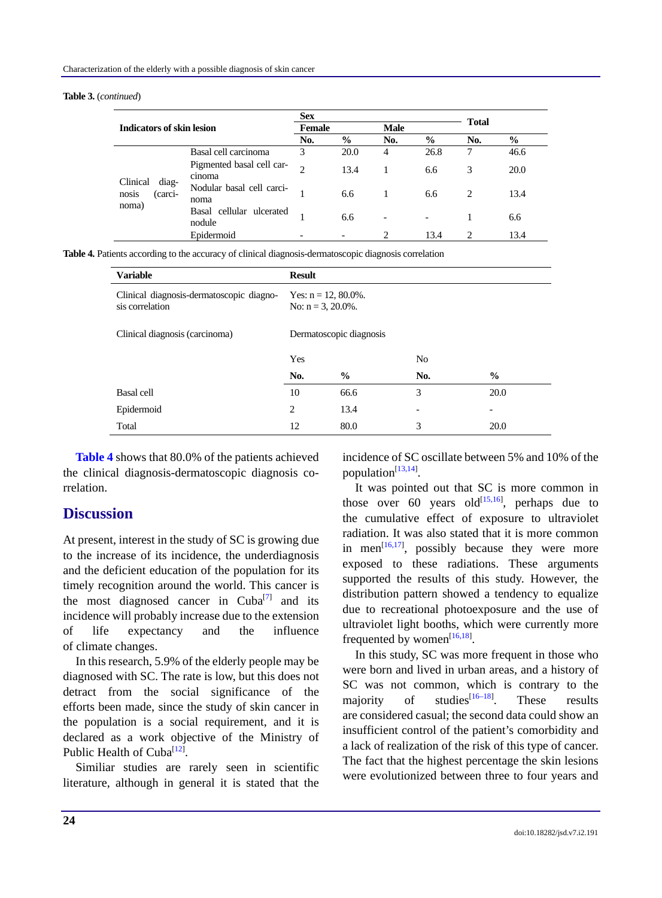#### **Table 3.** (*continued*)

| <b>Indicators of skin lesion</b>               |                                     | <b>Sex</b>    |               |             |               |                             |               |
|------------------------------------------------|-------------------------------------|---------------|---------------|-------------|---------------|-----------------------------|---------------|
|                                                |                                     | <b>Female</b> |               | <b>Male</b> |               | <b>Total</b>                |               |
|                                                |                                     | No.           | $\frac{6}{9}$ | No.         | $\frac{6}{9}$ | No.                         | $\frac{6}{9}$ |
|                                                | Basal cell carcinoma                | 3             | 20.0          | 4           | 26.8          | 7                           | 46.6          |
| Clinical<br>diag-<br>nosis<br>(carci-<br>noma) | Pigmented basal cell car-<br>cinoma | $\mathcal{D}$ | 13.4          |             | 6.6           | 3                           | 20.0          |
|                                                | Nodular basal cell carci-<br>noma   |               | 6.6           |             | 6.6           | $\mathcal{D}_{\mathcal{L}}$ | 13.4          |
|                                                | Basal cellular ulcerated<br>nodule  |               | 6.6           |             |               |                             | 6.6           |
|                                                | Epidermoid                          |               |               |             | 13.4          | $\mathcal{D}_{\mathcal{L}}$ | 13.4          |

**Table 4.** Patients according to the accuracy of clinical diagnosis-dermatoscopic diagnosis correlation

| <b>Variable</b>                                             | <b>Result</b>                                    |               |                |               |  |
|-------------------------------------------------------------|--------------------------------------------------|---------------|----------------|---------------|--|
| Clinical diagnosis-dermatoscopic diagno-<br>sis correlation | Yes: $n = 12, 80.0\%$ .<br>No: $n = 3, 20.0\%$ . |               |                |               |  |
| Clinical diagnosis (carcinoma)                              | Dermatoscopic diagnosis                          |               |                |               |  |
|                                                             | Yes                                              |               | N <sub>0</sub> |               |  |
|                                                             | No.                                              | $\frac{6}{9}$ | No.            | $\frac{6}{9}$ |  |
| Basal cell                                                  | 10                                               | 66.6          | 3              | 20.0          |  |
| Epidermoid                                                  | $\overline{c}$                                   | 13.4          |                | -             |  |
| Total                                                       | 12                                               | 80.0          | 3              | 20.0          |  |

**Table 4** shows that 80.0% of the patients achieved the clinical diagnosis-dermatoscopic diagnosis correlation.

### **Discussion**

At present, interest in the study of SC is growing due to the increase of its incidence, the underdiagnosis and the deficient education of the population for its timely recognition around the world. This cancer is the most diagnosed cancer in Cuba<sup>[7]</sup> and its incidence will probably increase due to the extension of life expectancy and the influence of climate changes.

In this research, 5.9% of the elderly people may be diagnosed with SC. The rate is low, but this does not detract from the social significance of the efforts been made, since the study of skin cancer in the population is a social requirement, and it is declared as a work objective of the Ministry of Public Health of Cuba<sup>[12]</sup>.

Similiar studies are rarely seen in scientific literature, although in general it is stated that the incidence of SC oscillate between 5% and 10% of the population<sup>[13,14]</sup>.

It was pointed out that SC is more common in those over 60 years old $\left[15,16\right]$ , perhaps due to the cumulative effect of exposure to ultraviolet radiation. It was also stated that it is more common in men<sup>[16,17]</sup>, possibly because they were more exposed to these radiations. These arguments supported the results of this study. However, the distribution pattern showed a tendency to equalize due to recreational photoexposure and the use of ultraviolet light booths, which were currently more frequented by women $^{[16,18]}$ .

In this study, SC was more frequent in those who were born and lived in urban areas, and a history of SC was not common, which is contrary to the majority of studies $\begin{bmatrix} 16-18 \end{bmatrix}$ These results are considered casual; the second data could show an insufficient control of the patient's comorbidity and a lack of realization of the risk of this type of cancer. The fact that the highest percentage the skin lesions were evolutionized between three to four years and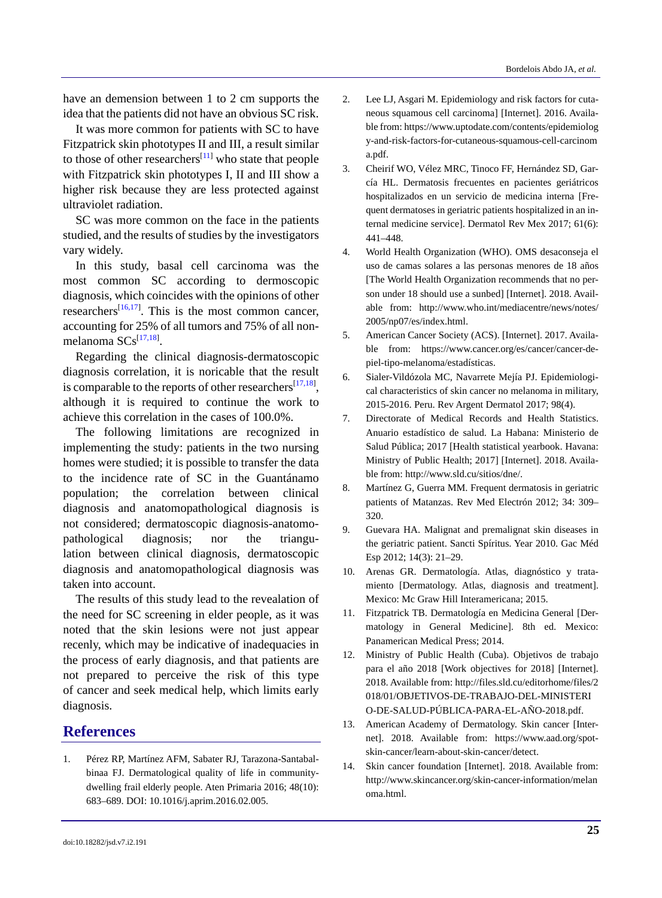have an demension between 1 to 2 cm supports the idea that the patients did not have an obvious SC risk.

It was more common for patients with SC to have Fitzpatrick skin phototypes II and III, a result similar to those of other researchers<sup>[11]</sup> who state that people with Fitzpatrick skin phototypes I, II and III show a higher risk because they are less protected against ultraviolet radiation.

SC was more common on the face in the patients studied, and the results of studies by the investigators vary widely.

In this study, basal cell carcinoma was the most common SC according to dermoscopic diagnosis, which coincides with the opinions of other researchers<sup>[16,17]</sup>. This is the most common cancer, accounting for 25% of all tumors and 75% of all nonmelanoma SCs<sup>[17,18]</sup>.

Regarding the clinical diagnosis-dermatoscopic diagnosis correlation, it is noricable that the result is comparable to the reports of other researchers<sup>[17,18]</sup>, although it is required to continue the work to achieve this correlation in the cases of 100.0%.

The following limitations are recognized in implementing the study: patients in the two nursing homes were studied; it is possible to transfer the data to the incidence rate of SC in the Guantánamo population; the correlation between clinical diagnosis and anatomopathological diagnosis is not considered; dermatoscopic diagnosis-anatomopathological diagnosis; nor the triangulation between clinical diagnosis, dermatoscopic diagnosis and anatomopathological diagnosis was taken into account.

The results of this study lead to the revealation of the need for SC screening in elder people, as it was noted that the skin lesions were not just appear recenly, which may be indicative of inadequacies in the process of early diagnosis, and that patients are not prepared to perceive the risk of this type of cancer and seek medical help, which limits early diagnosis.

#### **References**

1. Pérez RP, Martínez AFM, Sabater RJ, Tarazona-Santabalbinaa FJ. Dermatological quality of life in communitydwelling frail elderly people. Aten Primaria 2016; 48(10): 683–689. DOI: 10.1016/j.aprim.2016.02.005.

- 2. Lee LJ, Asgari M. Epidemiology and risk factors for cutaneous squamous cell carcinoma] [Internet]. 2016. Available from: [https://www.uptodate.com/contents/epidemiol](https://www.uptodate.com/contents/epidemio)og y-and-risk-factors-for-cutaneous-squamous-cell-carcinom a.pdf.
- 3. Cheirif WO, Vélez MRC, Tinoco FF, Hernández SD, García HL. Dermatosis frecuentes en pacientes geriátricos hospitalizados en un servicio de medicina interna [Frequent dermatoses in geriatric patients hospitalized in an internal medicine service]. Dermatol Rev Mex 2017; 61(6): 441–448.
- 4. World Health Organization (WHO). OMS desaconseja el uso de camas solares a las personas menores de 18 años [The World Health Organization recommends that no person under 18 should use a sunbed] [Internet]. 2018. Available from: <http://www.who.int/mediacentre/news/notes/> 2005/np07/es/index.html.
- 5. American Cancer Society (ACS). [Internet]. 2017. Available from: https://www.cancer.org/es/cancer/cancer-depiel-tipo-melanoma/estadísticas.
- 6. Sialer-Vildózola MC, Navarrete Mejía PJ. Epidemiological characteristics of skin cancer no melanoma in military, 2015-2016. Peru. Rev Argent Dermatol 2017; 98(4).
- 7. Directorate of Medical Records and Health Statistics. Anuario estadístico de salud. La Habana: Ministerio de Salud Pública; 2017 [Health statistical yearbook. Havana: Ministry of Public Health; 2017] [Internet]. 2018. Available from: http://www.sld.cu/sitios/dne/.
- 8. Martínez G, Guerra MM. Frequent dermatosis in geriatric patients of Matanzas. Rev Med Electrón 2012; 34: 309– 320.
- 9. Guevara HA. Malignat and premalignat skin diseases in the geriatric patient. Sancti Spíritus. Year 2010. Gac Méd Esp 2012; 14(3): 21–29.
- 10. Arenas GR. Dermatología. Atlas, diagnóstico y tratamiento [Dermatology. Atlas, diagnosis and treatment]. Mexico: Mc Graw Hill Interamericana; 2015.
- 11. Fitzpatrick TB. Dermatología en Medicina General [Dermatology in General Medicine]. 8th ed. Mexico: Panamerican Medical Press; 2014.
- 12. Ministry of Public Health (Cuba). Objetivos de trabajo para el año 2018 [Work objectives for 2018] [Internet]. 2018. Available from: http://files.sld.cu/editorhome/files/2 018/01/OBJETIVOS-DE-TRABAJO-DEL-MINISTERI O-DE-SALUD-PÚBLICA-PARA-EL-AÑO-2018.pdf.
- 13. American Academy of Dermatology. Skin cancer [Internet]. 2018. Available from: https://www.aad.org/spotskin-cancer/learn-about-skin-cancer/detect.
- 14. Skin cancer foundation [Internet]. 2018. Available from: http://www.skincancer.org/skin-cancer-information/melan oma.html.